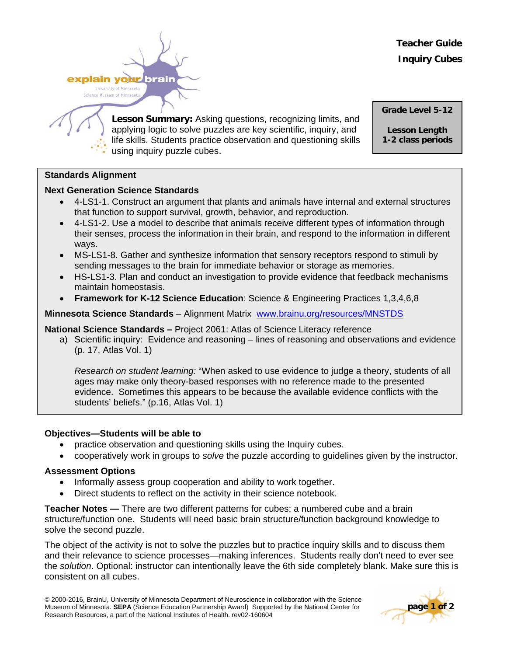**Teacher Guide Inquiry Cubes**



**Lesson Summary:** Asking questions, recognizing limits, and applying logic to solve puzzles are key scientific, inquiry, and life skills. Students practice observation and questioning skills using inquiry puzzle cubes.

**Grade Level 5-12** 

**Lesson Length** 

**1-2 class periods**

### **Standards Alignment**

### **Next Generation Science Standards**

- 4-LS1-1. Construct an argument that plants and animals have internal and external structures that function to support survival, growth, behavior, and reproduction.
- 4-LS1-2. Use a model to describe that animals receive different types of information through their senses, process the information in their brain, and respond to the information in different ways.
- MS-LS1-8. Gather and synthesize information that sensory receptors respond to stimuli by sending messages to the brain for immediate behavior or storage as memories.
- HS-LS1-3. Plan and conduct an investigation to provide evidence that feedback mechanisms maintain homeostasis.
- **Framework for K-12 Science Education**: Science & Engineering Practices 1,3,4,6,8

**Minnesota Science Standards** – Alignment Matrix [www.brainu.org/resources/MNSTDS](http://www.brainu.org/resources/MNSTDS)

### **National Science Standards –** Project 2061: Atlas of Science Literacy reference

a) Scientific inquiry: Evidence and reasoning – lines of reasoning and observations and evidence (p. 17, Atlas Vol. 1)

*Research on student learning:* "When asked to use evidence to judge a theory, students of all ages may make only theory-based responses with no reference made to the presented evidence. Sometimes this appears to be because the available evidence conflicts with the students' beliefs." (p.16, Atlas Vol. 1)

### **Objectives—Students will be able to**

- practice observation and questioning skills using the Inquiry cubes.
- cooperatively work in groups to *solve* the puzzle according to guidelines given by the instructor.

# **Assessment Options**

- Informally assess group cooperation and ability to work together.
- Direct students to reflect on the activity in their science notebook.

**Teacher Notes —** There are two different patterns for cubes; a numbered cube and a brain structure/function one. Students will need basic brain structure/function background knowledge to solve the second puzzle.

The object of the activity is not to solve the puzzles but to practice inquiry skills and to discuss them and their relevance to science processes—making inferences. Students really don't need to ever see the *solution*. Optional: instructor can intentionally leave the 6th side completely blank. Make sure this is consistent on all cubes.